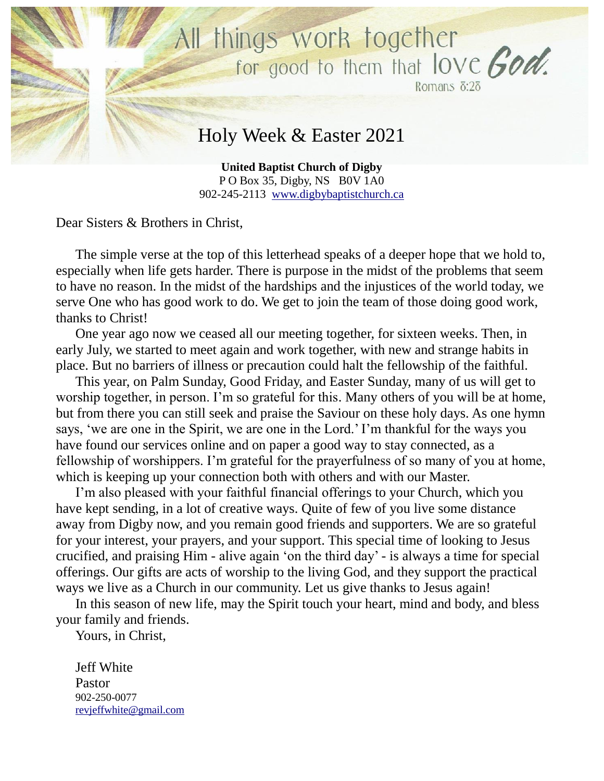

**United Baptist Church of Digby** P O Box 35, Digby, NS B0V 1A0 902-245-2113 [www.digbybaptistchurch.ca](http://www.digbybaptistchurch.ca/)

Dear Sisters & Brothers in Christ,

The simple verse at the top of this letterhead speaks of a deeper hope that we hold to, especially when life gets harder. There is purpose in the midst of the problems that seem to have no reason. In the midst of the hardships and the injustices of the world today, we serve One who has good work to do. We get to join the team of those doing good work, thanks to Christ!

One year ago now we ceased all our meeting together, for sixteen weeks. Then, in early July, we started to meet again and work together, with new and strange habits in place. But no barriers of illness or precaution could halt the fellowship of the faithful.

This year, on Palm Sunday, Good Friday, and Easter Sunday, many of us will get to worship together, in person. I'm so grateful for this. Many others of you will be at home, but from there you can still seek and praise the Saviour on these holy days. As one hymn says, 'we are one in the Spirit, we are one in the Lord.' I'm thankful for the ways you have found our services online and on paper a good way to stay connected, as a fellowship of worshippers. I'm grateful for the prayerfulness of so many of you at home, which is keeping up your connection both with others and with our Master.

I'm also pleased with your faithful financial offerings to your Church, which you have kept sending, in a lot of creative ways. Quite of few of you live some distance away from Digby now, and you remain good friends and supporters. We are so grateful for your interest, your prayers, and your support. This special time of looking to Jesus crucified, and praising Him - alive again 'on the third day' - is always a time for special offerings. Our gifts are acts of worship to the living God, and they support the practical ways we live as a Church in our community. Let us give thanks to Jesus again!

In this season of new life, may the Spirit touch your heart, mind and body, and bless your family and friends.

Yours, in Christ,

Jeff White Pastor 902-250-0077 revjeffwhite@gmail.com